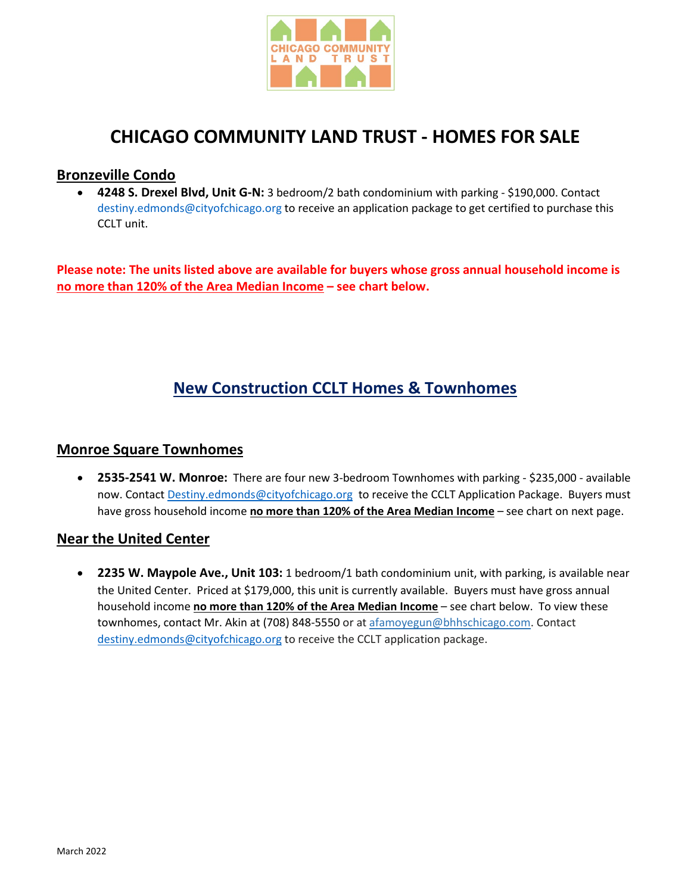

# **CHICAGO COMMUNITY LAND TRUST - HOMES FOR SALE**

#### **Bronzeville Condo**

• **4248 S. Drexel Blvd, Unit G-N:** 3 bedroom/2 bath condominium with parking - \$190,000. Contact [destiny.edmonds@cityofchicago.org](mailto:destiny.edmonds@cityofchicago.org) to receive an application package to get certified to purchase this CCLT unit.

**Please note: The units listed above are available for buyers whose gross annual household income is no more than 120% of the Area Median Income – see chart below.**

## **New Construction CCLT Homes & Townhomes**

#### **Monroe Square Townhomes**

• **2535-2541 W. Monroe:** There are four new 3-bedroom Townhomes with parking - \$235,000 - available now. Contact [Destiny.edmonds@cityofchicago.org](mailto:Destiny.edmonds@cityofchicago.org) to receive the CCLT Application Package. Buyers must have gross household income **no more than 120% of the Area Median Income** – see chart on next page.

### **Near the United Center**

• **2235 W. Maypole Ave., Unit 103:** 1 bedroom/1 bath condominium unit, with parking, is available near the United Center. Priced at \$179,000, this unit is currently available. Buyers must have gross annual household income **no more than 120% of the Area Median Income** – see chart below. To view these townhomes, contact Mr. Akin at (708) 848-5550 or at afamoyegun@bhhschicago.com. Contact [destiny.edmonds@cityofchicago.org](mailto:destiny.edmonds@cityofchicago.org) to receive the CCLT application package.